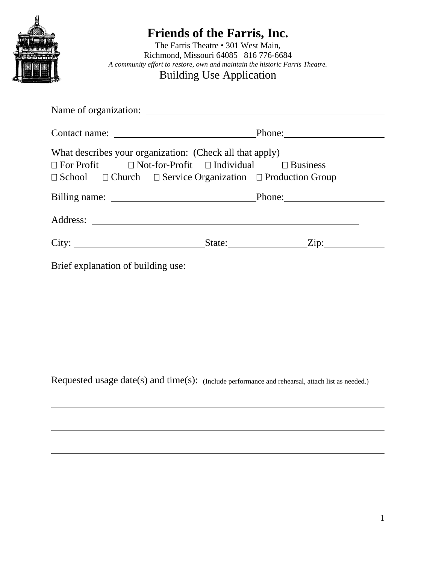

# **Friends of the Farris, Inc.**

The Farris Theatre • 301 West Main, Richmond, Missouri 64085 816 776-6684 *A community effort to restore, own and maintain the historic Farris Theatre.*  Building Use Application

| What describes your organization: (Check all that apply)<br>$\Box$ For Profit $\Box$ Not-for-Profit $\Box$ Individual $\Box$ Business<br>$\Box$ School $\Box$ Church $\Box$ Service Organization $\Box$ Production Group |  |
|--------------------------------------------------------------------------------------------------------------------------------------------------------------------------------------------------------------------------|--|
|                                                                                                                                                                                                                          |  |
|                                                                                                                                                                                                                          |  |
|                                                                                                                                                                                                                          |  |
| Brief explanation of building use:                                                                                                                                                                                       |  |
|                                                                                                                                                                                                                          |  |
|                                                                                                                                                                                                                          |  |
|                                                                                                                                                                                                                          |  |
| Requested usage date(s) and time(s): (Include performance and rehearsal, attach list as needed.)                                                                                                                         |  |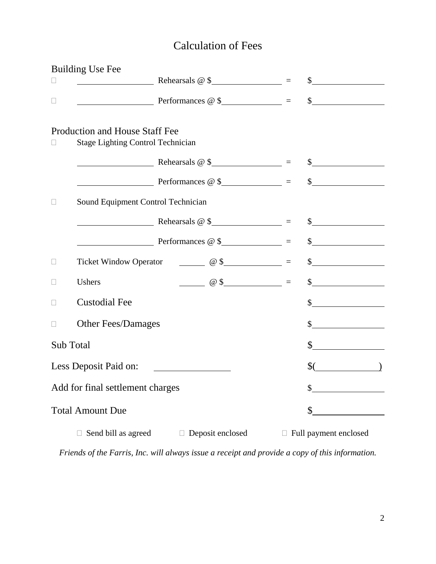## Calculation of Fees

|                       | <b>Building Use Fee</b>                                                    |                                                                                                                                                                                                                                                                                                                     |                      |                       |
|-----------------------|----------------------------------------------------------------------------|---------------------------------------------------------------------------------------------------------------------------------------------------------------------------------------------------------------------------------------------------------------------------------------------------------------------|----------------------|-----------------------|
|                       |                                                                            | $\frac{1}{\sqrt{1-\frac{1}{2}}\sqrt{1-\frac{1}{2}}\sqrt{1-\frac{1}{2}}\sqrt{1-\frac{1}{2}}}}$ Rehearsals @ \$                                                                                                                                                                                                       |                      | $\sim$                |
|                       |                                                                            | Perromances @ \$ 8                                                                                                                                                                                                                                                                                                  |                      | $\int$                |
|                       | Production and House Staff Fee<br><b>Stage Lighting Control Technician</b> |                                                                                                                                                                                                                                                                                                                     |                      |                       |
|                       |                                                                            | $\sim$ Rehearsals @ \$                                                                                                                                                                                                                                                                                              |                      | $\sim$                |
|                       |                                                                            |                                                                                                                                                                                                                                                                                                                     |                      |                       |
|                       | Sound Equipment Control Technician                                         |                                                                                                                                                                                                                                                                                                                     |                      |                       |
|                       |                                                                            | $\blacksquare$ Rehearsals @ \$                                                                                                                                                                                                                                                                                      |                      | $\frac{1}{2}$         |
|                       |                                                                            | Perromances @ \$                                                                                                                                                                                                                                                                                                    |                      | $\frac{1}{2}$         |
|                       |                                                                            | Ticket Window Operator $\qquad \qquad \qquad \textcircled{8}$ =                                                                                                                                                                                                                                                     |                      | $\frac{1}{2}$         |
|                       | Ushers                                                                     | $\frac{1}{2}$ $\frac{1}{2}$ $\frac{1}{2}$ $\frac{1}{2}$ $\frac{1}{2}$ $\frac{1}{2}$ $\frac{1}{2}$ $\frac{1}{2}$ $\frac{1}{2}$ $\frac{1}{2}$ $\frac{1}{2}$ $\frac{1}{2}$ $\frac{1}{2}$ $\frac{1}{2}$ $\frac{1}{2}$ $\frac{1}{2}$ $\frac{1}{2}$ $\frac{1}{2}$ $\frac{1}{2}$ $\frac{1}{2}$ $\frac{1}{2}$ $\frac{1}{2}$ |                      | $\frac{1}{2}$         |
|                       | <b>Custodial Fee</b>                                                       |                                                                                                                                                                                                                                                                                                                     |                      | $\sim$                |
|                       | <b>Other Fees/Damages</b>                                                  |                                                                                                                                                                                                                                                                                                                     |                      | $\frac{1}{2}$         |
| Sub Total             |                                                                            |                                                                                                                                                                                                                                                                                                                     | $\frac{1}{\sqrt{2}}$ |                       |
| Less Deposit Paid on: |                                                                            |                                                                                                                                                                                                                                                                                                                     |                      | \$(                   |
|                       | Add for final settlement charges                                           |                                                                                                                                                                                                                                                                                                                     |                      | \$                    |
|                       | <b>Total Amount Due</b>                                                    |                                                                                                                                                                                                                                                                                                                     |                      | \$                    |
|                       | Send bill as agreed<br>Ш                                                   | Deposit enclosed                                                                                                                                                                                                                                                                                                    |                      | Full payment enclosed |

*Friends of the Farris, Inc. will always issue a receipt and provide a copy of this information.*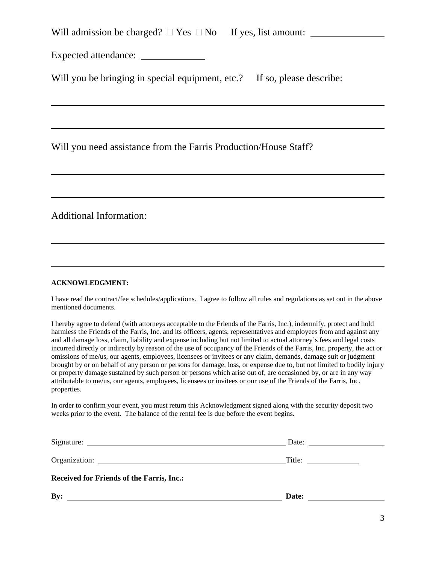Will admission be charged?  $\Box$  Yes  $\Box$  No If yes, list amount:

Expected attendance:

Will you be bringing in special equipment, etc.? If so, please describe:

Will you need assistance from the Farris Production/House Staff?

Additional Information:

l,

#### **ACKNOWLEDGMENT:**

I have read the contract/fee schedules/applications. I agree to follow all rules and regulations as set out in the above mentioned documents.

I hereby agree to defend (with attorneys acceptable to the Friends of the Farris, Inc.), indemnify, protect and hold harmless the Friends of the Farris, Inc. and its officers, agents, representatives and employees from and against any and all damage loss, claim, liability and expense including but not limited to actual attorney's fees and legal costs incurred directly or indirectly by reason of the use of occupancy of the Friends of the Farris, Inc. property, the act or omissions of me/us, our agents, employees, licensees or invitees or any claim, demands, damage suit or judgment brought by or on behalf of any person or persons for damage, loss, or expense due to, but not limited to bodily injury or property damage sustained by such person or persons which arise out of, are occasioned by, or are in any way attributable to me/us, our agents, employees, licensees or invitees or our use of the Friends of the Farris, Inc. properties.

In order to confirm your event, you must return this Acknowledgment signed along with the security deposit two weeks prior to the event. The balance of the rental fee is due before the event begins.

|                                                  | Date:  |
|--------------------------------------------------|--------|
|                                                  | Title: |
| <b>Received for Friends of the Farris, Inc.:</b> |        |
| By:                                              | Date:  |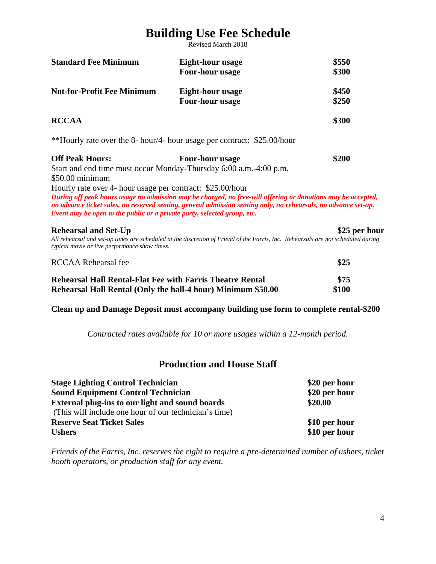## **Building Use Fee Schedule**

Revised March 2018

| <b>Standard Fee Minimum</b>                                              | Eight-hour usage                                                                                                                                                                                                                | \$550         |
|--------------------------------------------------------------------------|---------------------------------------------------------------------------------------------------------------------------------------------------------------------------------------------------------------------------------|---------------|
|                                                                          | <b>Four-hour usage</b>                                                                                                                                                                                                          | \$300         |
| <b>Not-for-Profit Fee Minimum</b>                                        | Eight-hour usage                                                                                                                                                                                                                | \$450         |
|                                                                          | Four-hour usage                                                                                                                                                                                                                 | \$250         |
| <b>RCCAA</b>                                                             |                                                                                                                                                                                                                                 | \$300         |
|                                                                          | **Hourly rate over the 8- hour/4- hour usage per contract: \$25.00/hour                                                                                                                                                         |               |
| <b>Off Peak Hours:</b>                                                   | <b>Four-hour usage</b>                                                                                                                                                                                                          | \$200         |
|                                                                          | Start and end time must occur Monday-Thursday 6:00 a.m.-4:00 p.m.                                                                                                                                                               |               |
| $$50.00$ minimum                                                         |                                                                                                                                                                                                                                 |               |
| Hourly rate over 4- hour usage per contract: \$25.00/hour                |                                                                                                                                                                                                                                 |               |
| Event may be open to the public or a private party, selected group, etc. | During off peak hours usage no admission may be charged, no free-will offering or donations may be accepted,<br>no advance ticket sales, no reserved seating, general admission seating only, no rehearsals, no advance set-up. |               |
| <b>Rehearsal and Set-Up</b>                                              |                                                                                                                                                                                                                                 | \$25 per hour |
| typical movie or live performance show times.                            | All rehearsal and set-up times are scheduled at the discretion of Friend of the Farris, Inc. Rehearsals are not scheduled during                                                                                                |               |
| <b>RCCAA Rehearsal fee</b>                                               |                                                                                                                                                                                                                                 | \$25          |
| <b>Rehearsal Hall Rental-Flat Fee with Farris Theatre Rental</b>         |                                                                                                                                                                                                                                 | \$75          |
| Rehearsal Hall Rental (Only the hall-4 hour) Minimum \$50.00             |                                                                                                                                                                                                                                 | \$100         |

**Clean up and Damage Deposit must accompany building use form to complete rental-\$200** 

*Contracted rates available for 10 or more usages within a 12-month period.* 

### **Production and House Staff**

| <b>Stage Lighting Control Technician</b>              | \$20 per hour |
|-------------------------------------------------------|---------------|
| <b>Sound Equipment Control Technician</b>             | \$20 per hour |
| External plug-ins to our light and sound boards       | \$20.00       |
| (This will include one hour of our technician's time) |               |
| <b>Reserve Seat Ticket Sales</b>                      | \$10 per hour |
| <b>Ushers</b>                                         | \$10 per hour |

*Friends of the Farris, Inc. reserves the right to require a pre-determined number of ushers, ticket booth operators, or production staff for any event.*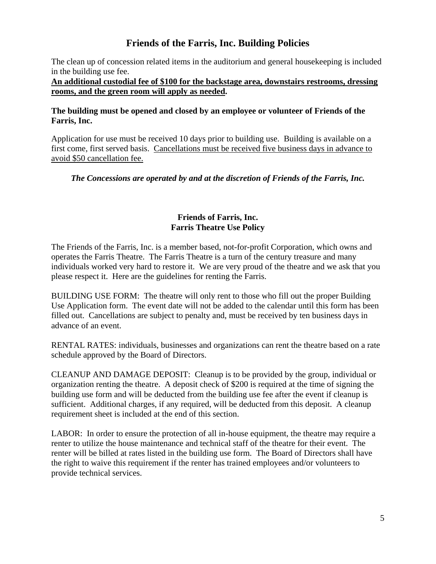### **Friends of the Farris, Inc. Building Policies**

The clean up of concession related items in the auditorium and general housekeeping is included in the building use fee.

**An additional custodial fee of \$100 for the backstage area, downstairs restrooms, dressing rooms, and the green room will apply as needed.** 

#### **The building must be opened and closed by an employee or volunteer of Friends of the Farris, Inc.**

Application for use must be received 10 days prior to building use. Building is available on a first come, first served basis. Cancellations must be received five business days in advance to avoid \$50 cancellation fee.

#### *The Concessions are operated by and at the discretion of Friends of the Farris, Inc.*

#### **Friends of Farris, Inc. Farris Theatre Use Policy**

The Friends of the Farris, Inc. is a member based, not-for-profit Corporation, which owns and operates the Farris Theatre. The Farris Theatre is a turn of the century treasure and many individuals worked very hard to restore it. We are very proud of the theatre and we ask that you please respect it. Here are the guidelines for renting the Farris.

BUILDING USE FORM: The theatre will only rent to those who fill out the proper Building Use Application form. The event date will not be added to the calendar until this form has been filled out. Cancellations are subject to penalty and, must be received by ten business days in advance of an event.

RENTAL RATES: individuals, businesses and organizations can rent the theatre based on a rate schedule approved by the Board of Directors.

CLEANUP AND DAMAGE DEPOSIT: Cleanup is to be provided by the group, individual or organization renting the theatre. A deposit check of \$200 is required at the time of signing the building use form and will be deducted from the building use fee after the event if cleanup is sufficient. Additional charges, if any required, will be deducted from this deposit. A cleanup requirement sheet is included at the end of this section.

LABOR: In order to ensure the protection of all in-house equipment, the theatre may require a renter to utilize the house maintenance and technical staff of the theatre for their event. The renter will be billed at rates listed in the building use form. The Board of Directors shall have the right to waive this requirement if the renter has trained employees and/or volunteers to provide technical services.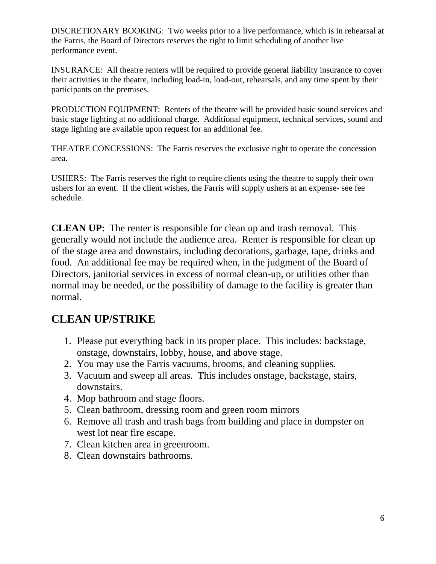DISCRETIONARY BOOKING: Two weeks prior to a live performance, which is in rehearsal at the Farris, the Board of Directors reserves the right to limit scheduling of another live performance event.

INSURANCE: All theatre renters will be required to provide general liability insurance to cover their activities in the theatre, including load-in, load-out, rehearsals, and any time spent by their participants on the premises.

PRODUCTION EQUIPMENT: Renters of the theatre will be provided basic sound services and basic stage lighting at no additional charge. Additional equipment, technical services, sound and stage lighting are available upon request for an additional fee.

THEATRE CONCESSIONS: The Farris reserves the exclusive right to operate the concession area.

USHERS: The Farris reserves the right to require clients using the theatre to supply their own ushers for an event. If the client wishes, the Farris will supply ushers at an expense- see fee schedule.

**CLEAN UP:** The renter is responsible for clean up and trash removal. This generally would not include the audience area. Renter is responsible for clean up of the stage area and downstairs, including decorations, garbage, tape, drinks and food. An additional fee may be required when, in the judgment of the Board of Directors, janitorial services in excess of normal clean-up, or utilities other than normal may be needed, or the possibility of damage to the facility is greater than normal.

### **CLEAN UP/STRIKE**

- 1. Please put everything back in its proper place. This includes: backstage, onstage, downstairs, lobby, house, and above stage.
- 2. You may use the Farris vacuums, brooms, and cleaning supplies.
- 3. Vacuum and sweep all areas. This includes onstage, backstage, stairs, downstairs.
- 4. Mop bathroom and stage floors.
- 5. Clean bathroom, dressing room and green room mirrors
- 6. Remove all trash and trash bags from building and place in dumpster on west lot near fire escape.
- 7. Clean kitchen area in greenroom.
- 8. Clean downstairs bathrooms.